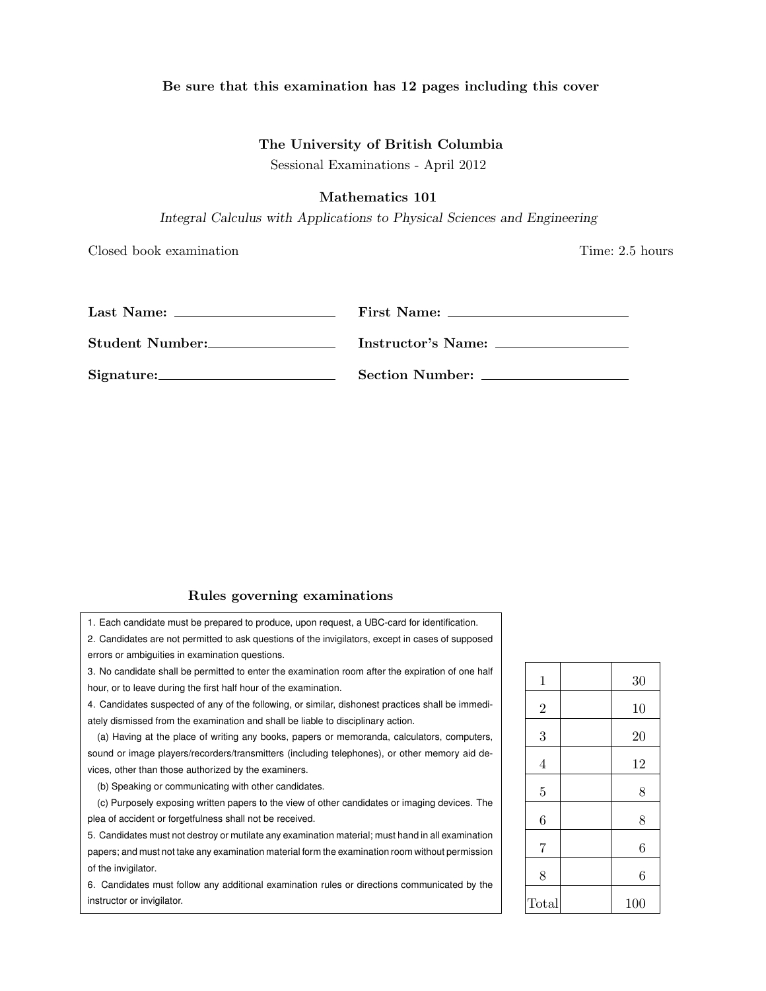## Be sure that this examination has 12 pages including this cover

# The University of British Columbia

Sessional Examinations - April 2012

## Mathematics 101

*Integral Calculus with Applications to Physical Sciences and Engineering*

Closed book examination Time: 2.5 hours

| Last Name:      | First Name:        |
|-----------------|--------------------|
| Student Number: | Instructor's Name: |
| Signature:      | Section Number:    |

### Rules governing examinations

1. Each candidate must be prepared to produce, upon request, a UBC-card for identification.

2. Candidates are not permitted to ask questions of the invigilators, except in cases of supposed errors or ambiguities in examination questions.

3. No candidate shall be permitted to enter the examination room after the expiration of one half hour, or to leave during the first half hour of the examination.

4. Candidates suspected of any of the following, or similar, dishonest practices shall be immediately dismissed from the examination and shall be liable to disciplinary action.

(a) Having at the place of writing any books, papers or memoranda, calculators, computers, sound or image players/recorders/transmitters (including telephones), or other memory aid devices, other than those authorized by the examiners.

(b) Speaking or communicating with other candidates.

(c) Purposely exposing written papers to the view of other candidates or imaging devices. The plea of accident or forgetfulness shall not be received.

5. Candidates must not destroy or mutilate any examination material; must hand in all examination papers; and must not take any examination material form the examination room without permission of the invigilator.

6. Candidates must follow any additional examination rules or directions communicated by the instructor or invigilator.

| $\mathbf{1}$   | 30  |
|----------------|-----|
| $\overline{2}$ | 10  |
| 3              | 20  |
| $\overline{4}$ | 12  |
| $\overline{5}$ | 8   |
| $\,6$          | 8   |
| $\overline{7}$ | 6   |
| 8              | 6   |
| Total          | 100 |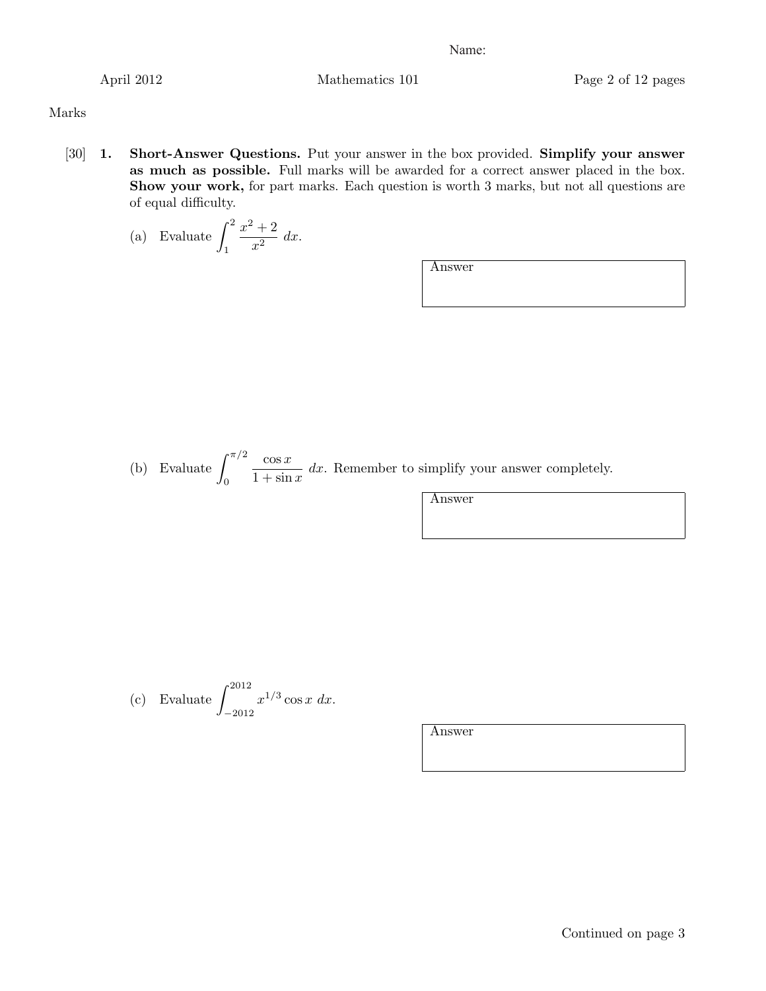April 2012 Mathematics 101 Page 2 of 12 pages

# Marks

[30] 1. Short-Answer Questions. Put your answer in the box provided. Simplify your answer as much as possible. Full marks will be awarded for a correct answer placed in the box. Show your work, for part marks. Each question is worth 3 marks, but not all questions are of equal difficulty.

(a) Evaluate 
$$
\int_1^2 \frac{x^2 + 2}{x^2} dx.
$$

Answer

(b) Evaluate  $\int_{0}^{\pi/2}$  $\boldsymbol{0}$ cos *x*  $\frac{\cos x}{1 + \sin x}$  *dx*. Remember to simplify your answer completely.

Answer

(c) Evaluate 
$$
\int_{-2012}^{2012} x^{1/3} \cos x \ dx
$$
.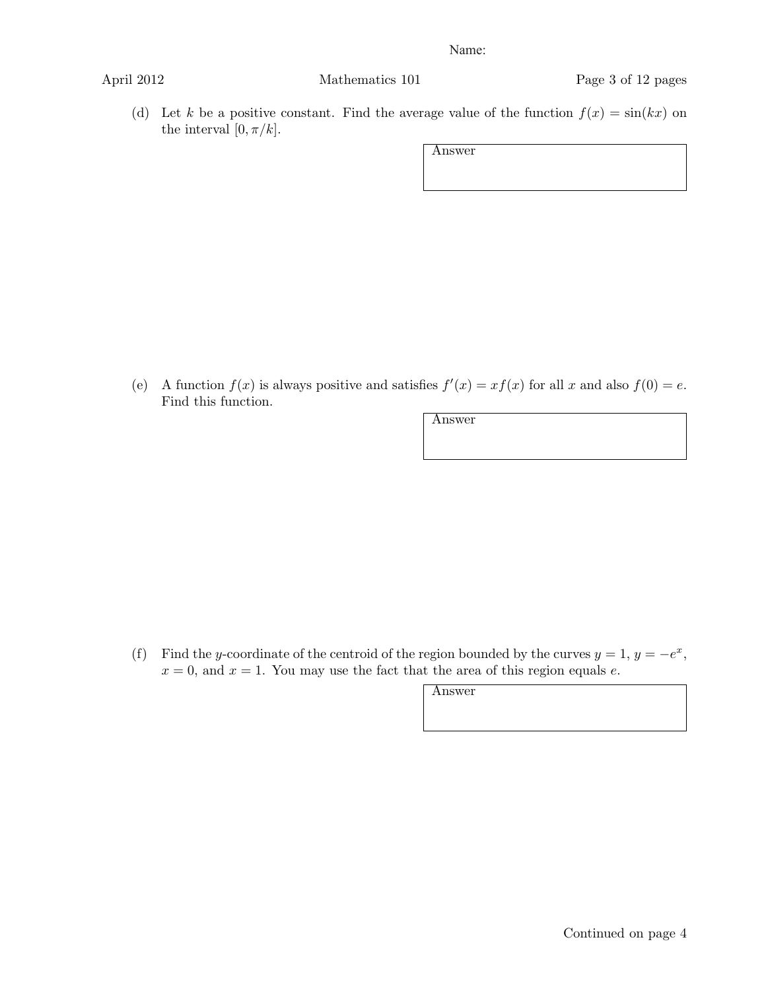April 2012 Mathematics 101 Page 3 of 12 pages

(d) Let *k* be a positive constant. Find the average value of the function  $f(x) = \sin(kx)$  on the interval  $[0, \pi/k]$ .

Answer

(e) A function  $f(x)$  is always positive and satisfies  $f'(x) = xf(x)$  for all x and also  $f(0) = e$ . Find this function.

Answer

(f) Find the *y*-coordinate of the centroid of the region bounded by the curves  $y = 1$ ,  $y = -e^x$ ,  $x = 0$ , and  $x = 1$ . You may use the fact that the area of this region equals *e*.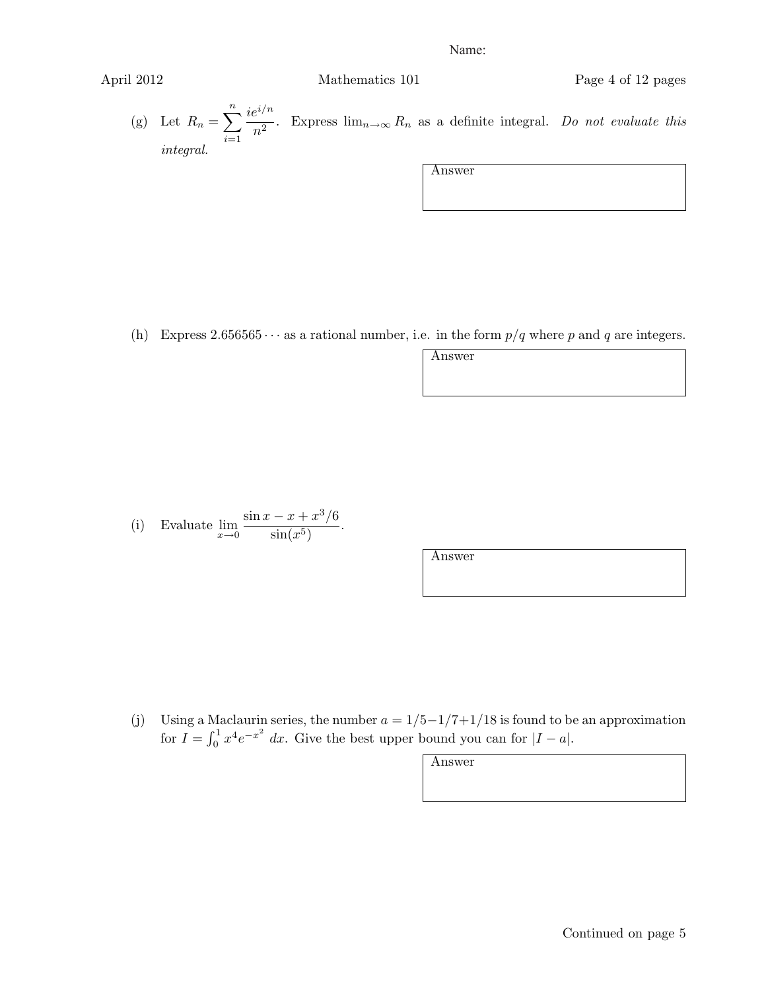April 2012 Mathematics 101 Page 4 of 12 pages

(g) Let  $R_n = \sum_{n=1}^n$ *i*=1 *iei/n*  $\frac{m}{n^2}$ . Express  $\lim_{n\to\infty} R_n$  as a definite integral. *Do not evaluate this integral.*

Answer

(h) Express  $2.656565 \cdots$  as a rational number, i.e. in the form  $p/q$  where p and q are integers.

Answer

(i) Evaluate  $\lim_{x\to 0}$  $\frac{\sin x - x + x^3}{6}$  $\frac{x+x}{\sin(x^5)}$ .

Answer

(j) Using a Maclaurin series, the number  $a = 1/5 - 1/7 + 1/18$  is found to be an approximation for  $I = \int_0^1 x^4 e^{-x^2} dx$ . Give the best upper bound you can for  $|I - a|$ .

| -1182<br>⊷ |
|------------|
|------------|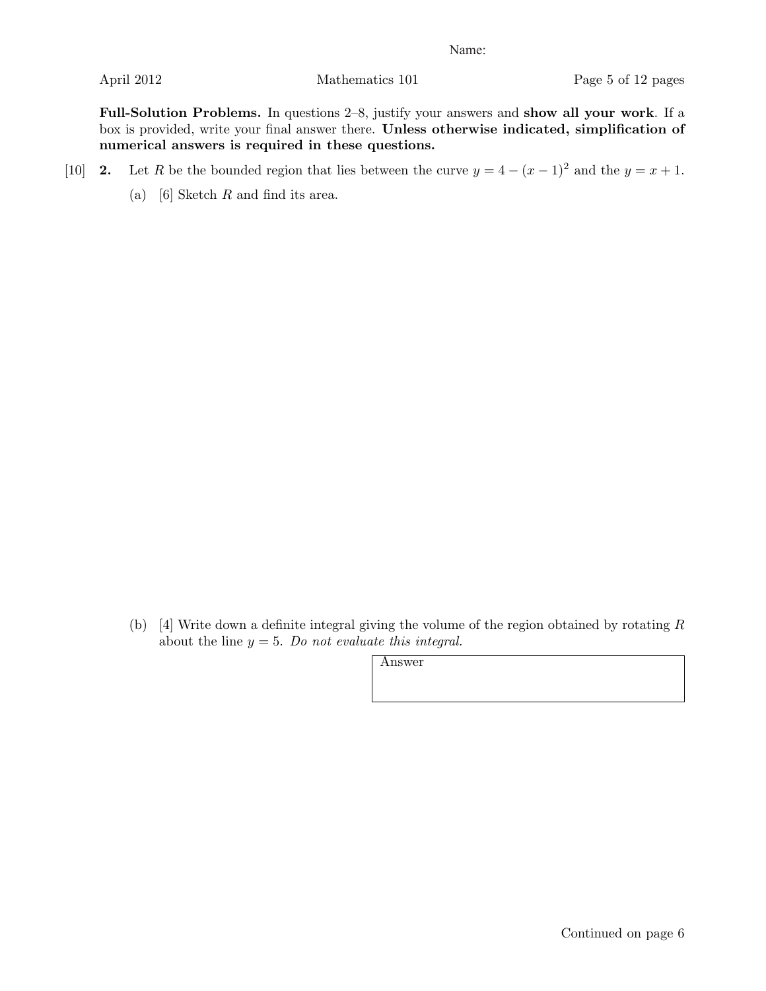Full-Solution Problems. In questions 2–8, justify your answers and show all your work. If a box is provided, write your final answer there. Unless otherwise indicated, simplification of numerical answers is required in these questions.

- [10] 2. Let *R* be the bounded region that lies between the curve  $y = 4 (x 1)^2$  and the  $y = x + 1$ .
	- (a) [6] Sketch *R* and find its area.

(b) [4] Write down a definite integral giving the volume of the region obtained by rotating *R* about the line *y* = 5. *Do not evaluate this integral.*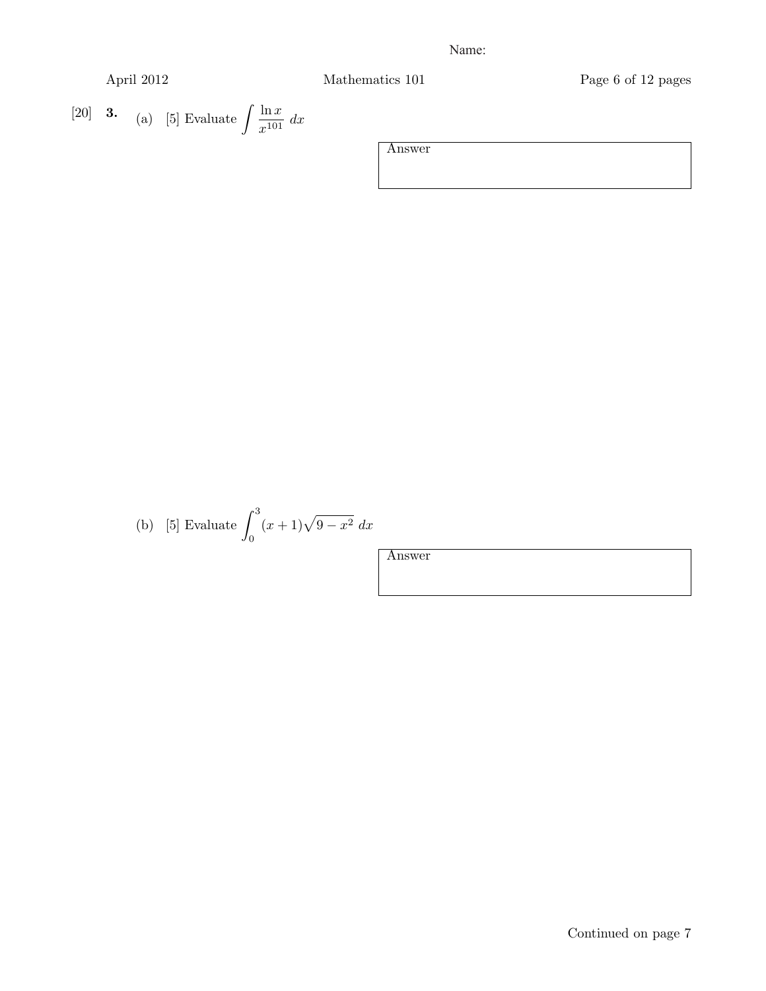April 2012 Mathematics 101 Page 6 of 12 pages

$$
\begin{bmatrix} 20 \end{bmatrix} \quad \mathbf{3.} \quad \text{(a)} \quad \text{[5] Evaluate } \int \frac{\ln x}{x^{101}} \, dx
$$

| Answer |
|--------|
|        |
|        |
|        |
|        |

(b) [5] Evaluate 
$$
\int_0^3 (x+1)\sqrt{9-x^2} \ dx
$$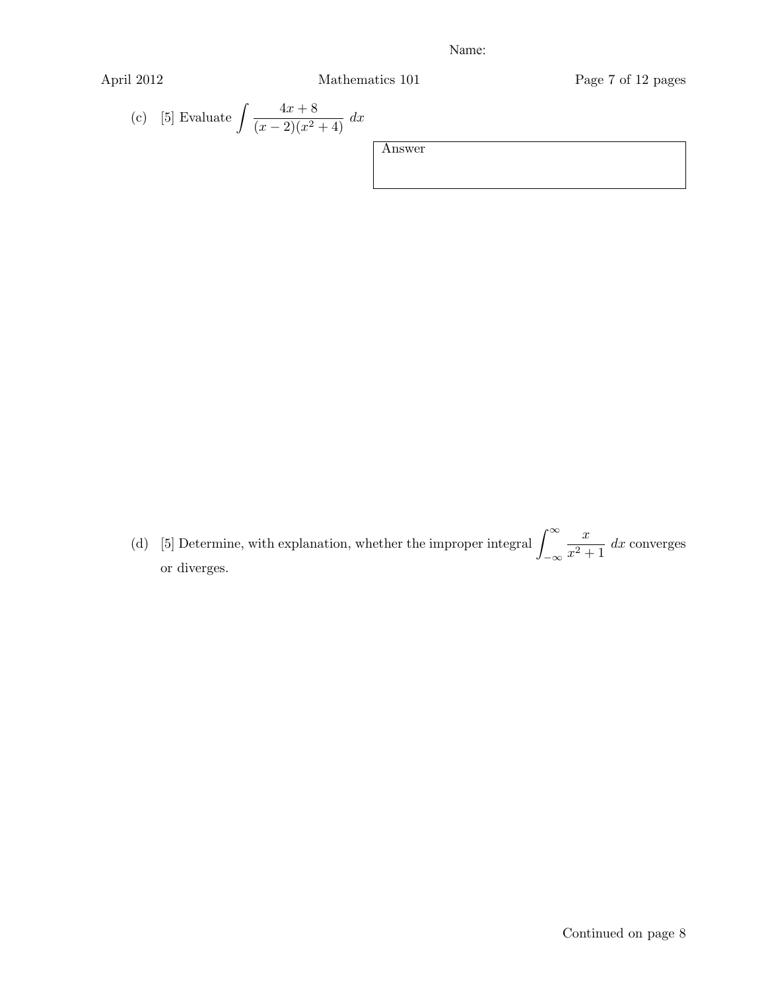$$
\Delta \text{pril } 2012
$$

April 2012 Mathematics 101 Page 7 of 12 pages

(c) [5] Evaluate 
$$
\int \frac{4x+8}{(x-2)(x^2+4)} dx
$$

| Answer |  |  |
|--------|--|--|
|        |  |  |
|        |  |  |
|        |  |  |

(d) [5] Determine, with explanation, whether the improper integral  $\int_{-\infty}^{\infty}$ *−∞*  $\frac{x}{x^2+1}$  *dx* converges or diverges.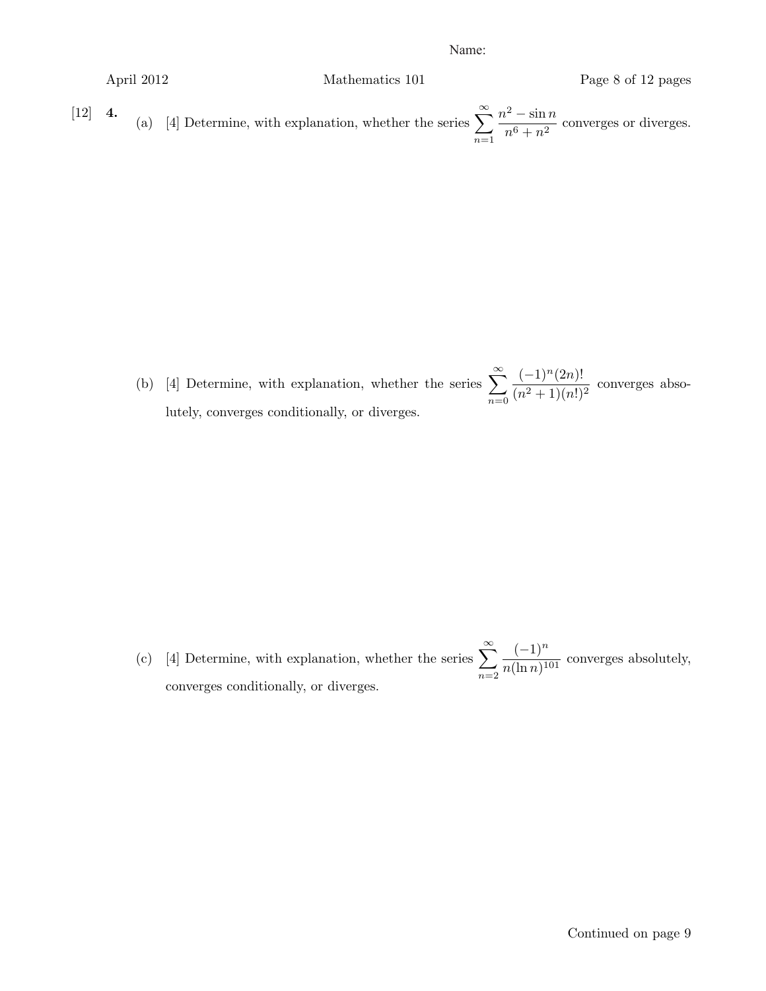April 2012  
\nMathematics 101  
\nPage 8 of 12 pages  
\n(a) [4] Determine, with explanation, whether the series 
$$
\sum_{n=1}^{\infty} \frac{n^2 - \sin n}{n^6 + n^2}
$$
 converges or diverges.

(b) [4] Determine, with explanation, whether the series  $\sum_{n=1}^{\infty}$ *n*=0 (*−*1)*n*(2*n*)!  $\frac{(n^2+1)(2n)}{(n^2+1)(n!)^2}$  converges absolutely, converges conditionally, or diverges.

(c) [4] Determine, with explanation, whether the series  $\sum_{n=1}^{\infty}$ *n*=2 (*−*1)*<sup>n</sup>*  $\frac{(1)}{n(\ln n)^{101}}$  converges absolutely, converges conditionally, or diverges.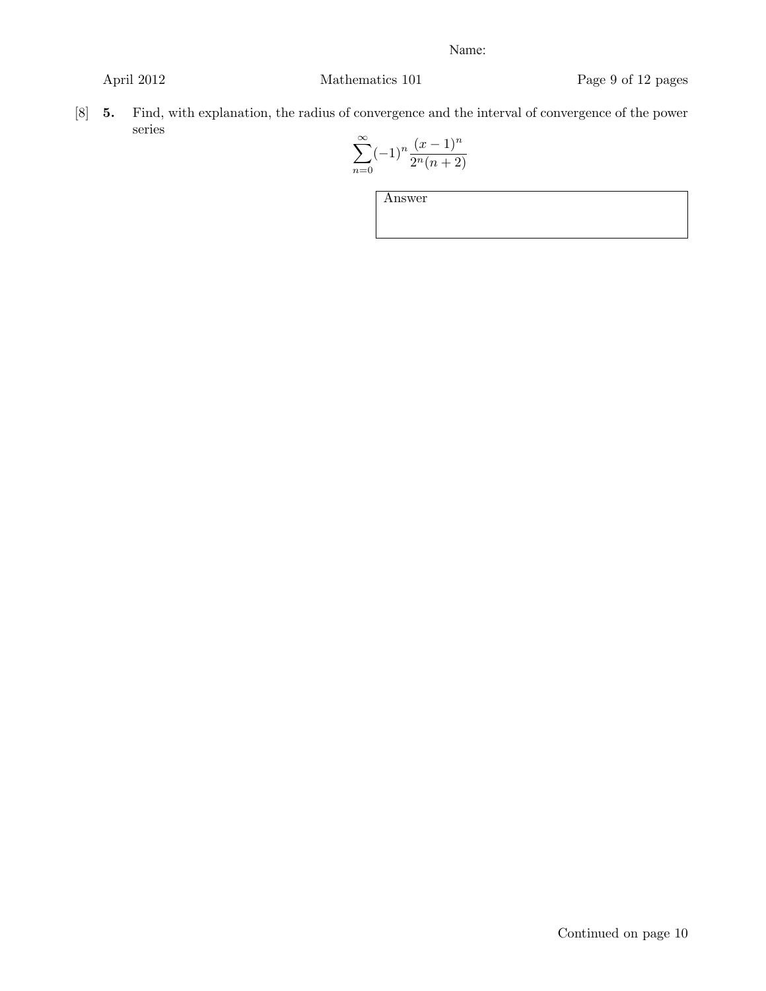April 2012 Mathematics 101 Page 9 of 12 pages

[8] 5. Find, with explanation, the radius of convergence and the interval of convergence of the power series

$$
\sum_{n=0}^{\infty} (-1)^n \frac{(x-1)^n}{2^n (n+2)}
$$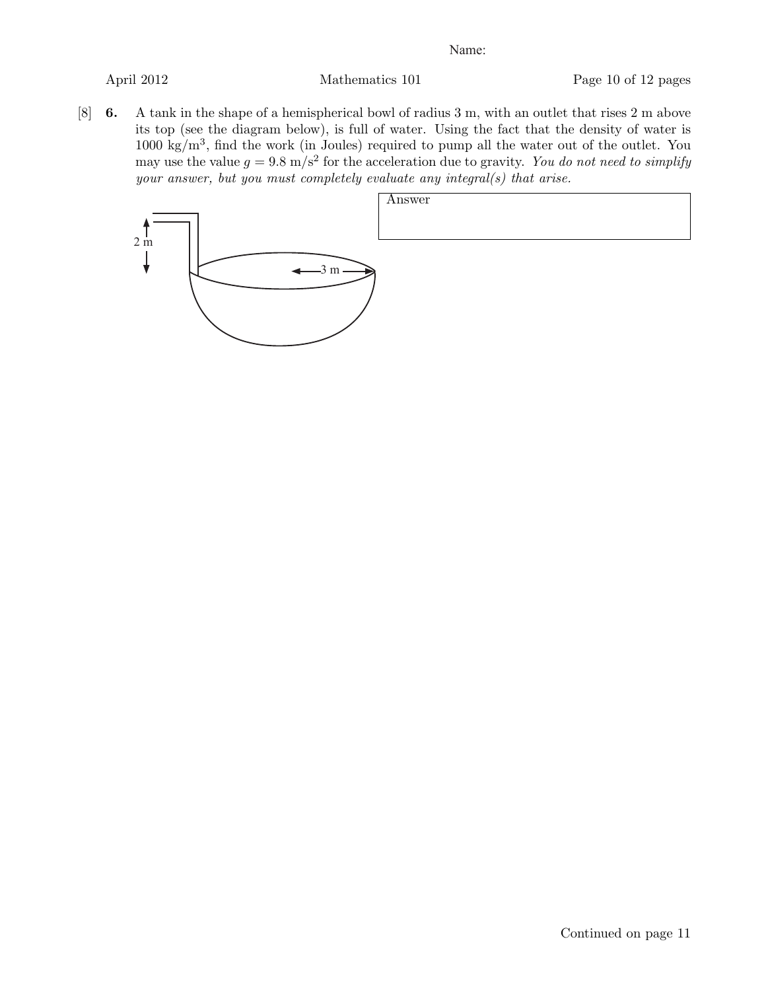[8] 6. A tank in the shape of a hemispherical bowl of radius 3 m, with an outlet that rises 2 m above its top (see the diagram below), is full of water. Using the fact that the density of water is 1000 kg/m<sup>3</sup>, find the work (in Joules) required to pump all the water out of the outlet. You may use the value  $g = 9.8 \text{ m/s}^2$  for the acceleration due to gravity. *You do not need to simplify your answer, but you must completely evaluate any integral(s) that arise.*

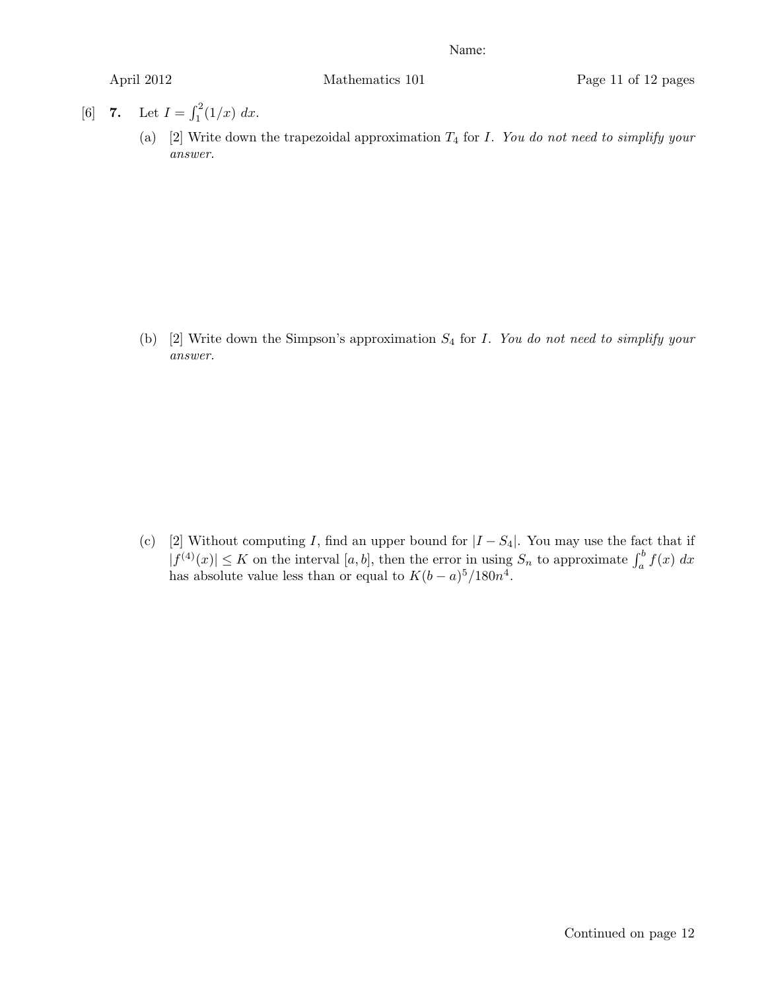- [6] 7. Let  $I = \int_1^2 (1/x) dx$ .
	- (a) [2] Write down the trapezoidal approximation *T*<sup>4</sup> for *I*. *You do not need to simplify your answer.*

(b) [2] Write down the Simpson's approximation *S*<sup>4</sup> for *I*. *You do not need to simplify your answer.*

(c) [2] Without computing *I*, find an upper bound for  $|I - S_4|$ . You may use the fact that if  $|f^{(4)}(x)| \leq K$  on the interval [*a, b*], then the error in using  $S_n$  to approximate  $\int_a^b f(x) dx$ has absolute value less than or equal to  $K(b-a)^5/180n^4$ .